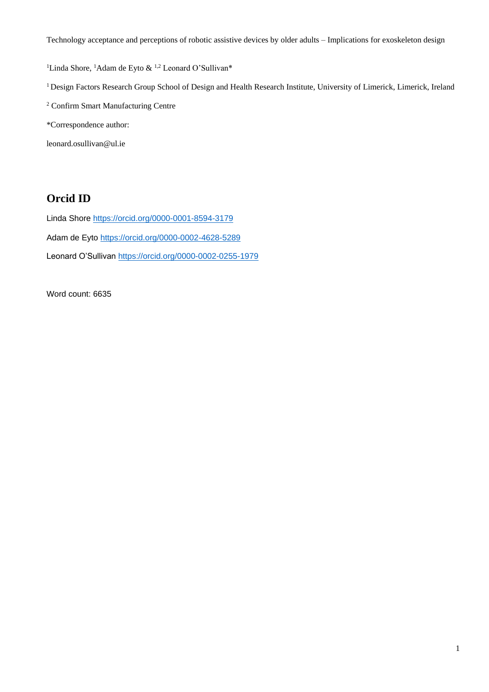Technology acceptance and perceptions of robotic assistive devices by older adults – Implications for exoskeleton design

<sup>1</sup>Linda Shore, <sup>1</sup>Adam de Eyto & <sup>1,2</sup> Leonard O'Sullivan\*

<sup>1</sup> Design Factors Research Group School of Design and Health Research Institute, University of Limerick, Limerick, Ireland

<sup>2</sup> Confirm Smart Manufacturing Centre

\*Correspondence author:

leonard.osullivan@ul.ie

# **Orcid ID**

Linda Shore<https://orcid.org/0000-0001-8594-3179> Adam de Eyto<https://orcid.org/0000-0002-4628-5289> Leonard O'Sullivan<https://orcid.org/0000-0002-0255-1979>

Word count: 6635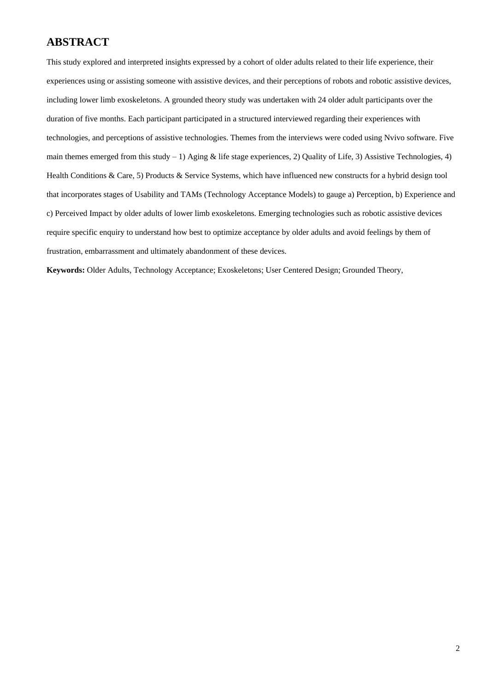# **ABSTRACT**

This study explored and interpreted insights expressed by a cohort of older adults related to their life experience, their experiences using or assisting someone with assistive devices, and their perceptions of robots and robotic assistive devices, including lower limb exoskeletons. A grounded theory study was undertaken with 24 older adult participants over the duration of five months. Each participant participated in a structured interviewed regarding their experiences with technologies, and perceptions of assistive technologies. Themes from the interviews were coded using Nvivo software. Five main themes emerged from this study – 1) Aging & life stage experiences, 2) Quality of Life, 3) Assistive Technologies, 4) Health Conditions & Care, 5) Products & Service Systems, which have influenced new constructs for a hybrid design tool that incorporates stages of Usability and TAMs (Technology Acceptance Models) to gauge a) Perception, b) Experience and c) Perceived Impact by older adults of lower limb exoskeletons. Emerging technologies such as robotic assistive devices require specific enquiry to understand how best to optimize acceptance by older adults and avoid feelings by them of frustration, embarrassment and ultimately abandonment of these devices.

**Keywords:** Older Adults, Technology Acceptance; Exoskeletons; User Centered Design; Grounded Theory,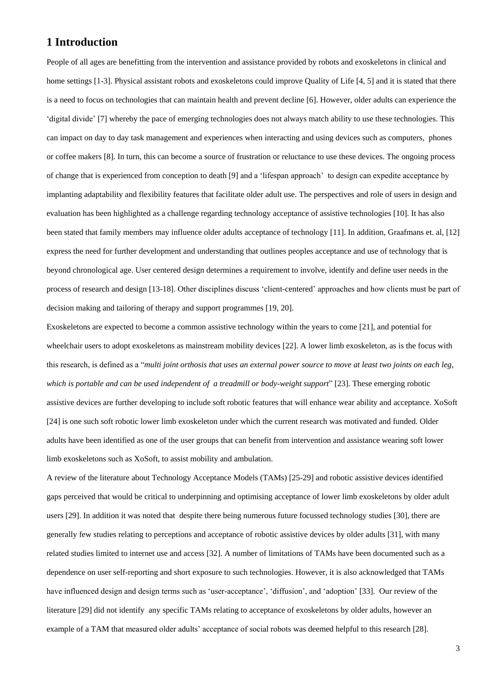# **1 Introduction**

People of all ages are benefitting from the intervention and assistance provided by robots and exoskeletons in clinical and home settings [1-3]. Physical assistant robots and exoskeletons could improve Quality of Life [4, 5] and it is stated that there is a need to focus on technologies that can maintain health and prevent decline [6]. However, older adults can experience the 'digital divide' [7] whereby the pace of emerging technologies does not always match ability to use these technologies. This can impact on day to day task management and experiences when interacting and using devices such as computers, phones or coffee makers [8]. In turn, this can become a source of frustration or reluctance to use these devices. The ongoing process of change that is experienced from conception to death [9] and a 'lifespan approach' to design can expedite acceptance by implanting adaptability and flexibility features that facilitate older adult use. The perspectives and role of users in design and evaluation has been highlighted as a challenge regarding technology acceptance of assistive technologies [10]. It has also been stated that family members may influence older adults acceptance of technology [11]. In addition, Graafmans et. al, [12] express the need for further development and understanding that outlines peoples acceptance and use of technology that is beyond chronological age. User centered design determines a requirement to involve, identify and define user needs in the process of research and design [13-18]. Other disciplines discuss 'client-centered' approaches and how clients must be part of decision making and tailoring of therapy and support programmes [19, 20].

Exoskeletons are expected to become a common assistive technology within the years to come [21], and potential for wheelchair users to adopt exoskeletons as mainstream mobility devices [22]. A lower limb exoskeleton, as is the focus with this research, is defined as a "*multi joint orthosis that uses an external power source to move at least two joints on each leg, which is portable and can be used independent of a treadmill or body-weight support*" [23]. These emerging robotic assistive devices are further developing to include soft robotic features that will enhance wear ability and acceptance. XoSoft [24] is one such soft robotic lower limb exoskeleton under which the current research was motivated and funded. Older adults have been identified as one of the user groups that can benefit from intervention and assistance wearing soft lower limb exoskeletons such as XoSoft, to assist mobility and ambulation.

A review of the literature about Technology Acceptance Models (TAMs) [25-29] and robotic assistive devices identified gaps perceived that would be critical to underpinning and optimising acceptance of lower limb exoskeletons by older adult users [29]. In addition it was noted that despite there being numerous future focussed technology studies [30], there are generally few studies relating to perceptions and acceptance of robotic assistive devices by older adults [31], with many related studies limited to internet use and access [32]. A number of limitations of TAMs have been documented such as a dependence on user self-reporting and short exposure to such technologies. However, it is also acknowledged that TAMs have influenced design and design terms such as 'user-acceptance', 'diffusion', and 'adoption' [33]. Our review of the literature [29] did not identify any specific TAMs relating to acceptance of exoskeletons by older adults, however an example of a TAM that measured older adults' acceptance of social robots was deemed helpful to this research [28].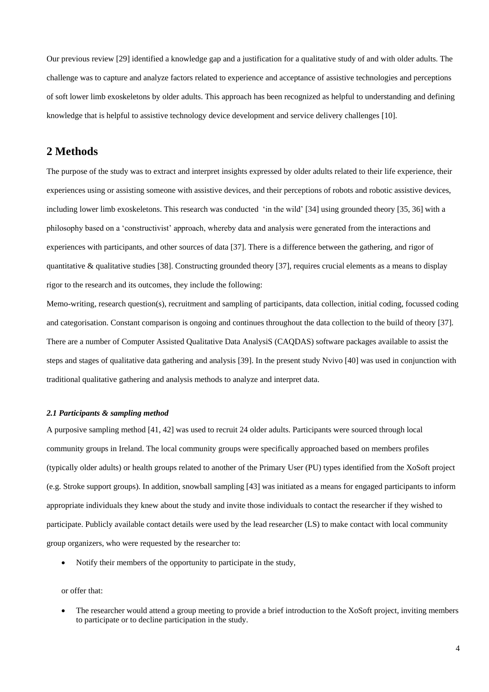Our previous review [29] identified a knowledge gap and a justification for a qualitative study of and with older adults. The challenge was to capture and analyze factors related to experience and acceptance of assistive technologies and perceptions of soft lower limb exoskeletons by older adults. This approach has been recognized as helpful to understanding and defining knowledge that is helpful to assistive technology device development and service delivery challenges [10].

# **2 Methods**

The purpose of the study was to extract and interpret insights expressed by older adults related to their life experience, their experiences using or assisting someone with assistive devices, and their perceptions of robots and robotic assistive devices, including lower limb exoskeletons. This research was conducted 'in the wild' [34] using grounded theory [35, 36] with a philosophy based on a 'constructivist' approach, whereby data and analysis were generated from the interactions and experiences with participants, and other sources of data [37]. There is a difference between the gathering, and rigor of quantitative & qualitative studies [38]. Constructing grounded theory [37], requires crucial elements as a means to display rigor to the research and its outcomes, they include the following:

Memo-writing, research question(s), recruitment and sampling of participants, data collection, initial coding, focussed coding and categorisation. Constant comparison is ongoing and continues throughout the data collection to the build of theory [37]. There are a number of Computer Assisted Qualitative Data AnalysiS (CAQDAS) software packages available to assist the steps and stages of qualitative data gathering and analysis [39]. In the present study Nvivo [40] was used in conjunction with traditional qualitative gathering and analysis methods to analyze and interpret data.

### *2.1 Participants & sampling method*

A purposive sampling method [41, 42] was used to recruit 24 older adults. Participants were sourced through local community groups in Ireland. The local community groups were specifically approached based on members profiles (typically older adults) or health groups related to another of the Primary User (PU) types identified from the XoSoft project (e.g. Stroke support groups). In addition, snowball sampling [43] was initiated as a means for engaged participants to inform appropriate individuals they knew about the study and invite those individuals to contact the researcher if they wished to participate. Publicly available contact details were used by the lead researcher (LS) to make contact with local community group organizers, who were requested by the researcher to:

Notify their members of the opportunity to participate in the study,

or offer that:

 The researcher would attend a group meeting to provide a brief introduction to the XoSoft project, inviting members to participate or to decline participation in the study.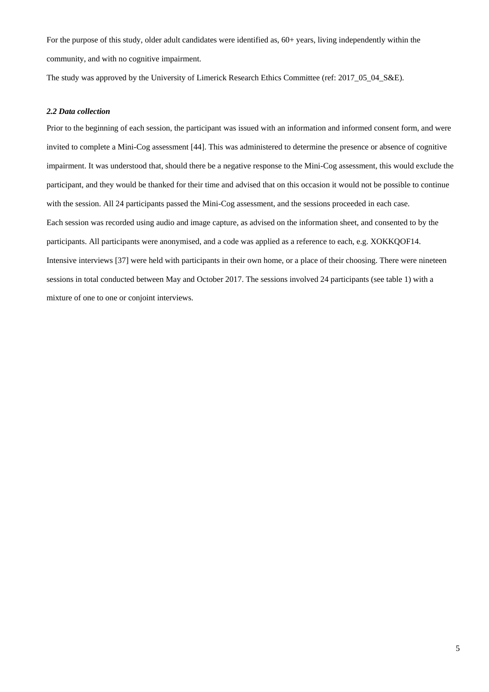For the purpose of this study, older adult candidates were identified as, 60+ years, living independently within the community, and with no cognitive impairment.

The study was approved by the University of Limerick Research Ethics Committee (ref: 2017\_05\_04\_S&E).

### *2.2 Data collection*

Prior to the beginning of each session, the participant was issued with an information and informed consent form, and were invited to complete a Mini-Cog assessment [44]. This was administered to determine the presence or absence of cognitive impairment. It was understood that, should there be a negative response to the Mini-Cog assessment, this would exclude the participant, and they would be thanked for their time and advised that on this occasion it would not be possible to continue with the session. All 24 participants passed the Mini-Cog assessment, and the sessions proceeded in each case. Each session was recorded using audio and image capture, as advised on the information sheet, and consented to by the participants. All participants were anonymised, and a code was applied as a reference to each, e.g. XOKKQOF14. Intensive interviews [37] were held with participants in their own home, or a place of their choosing. There were nineteen sessions in total conducted between May and October 2017. The sessions involved 24 participants (see table 1) with a mixture of one to one or conjoint interviews.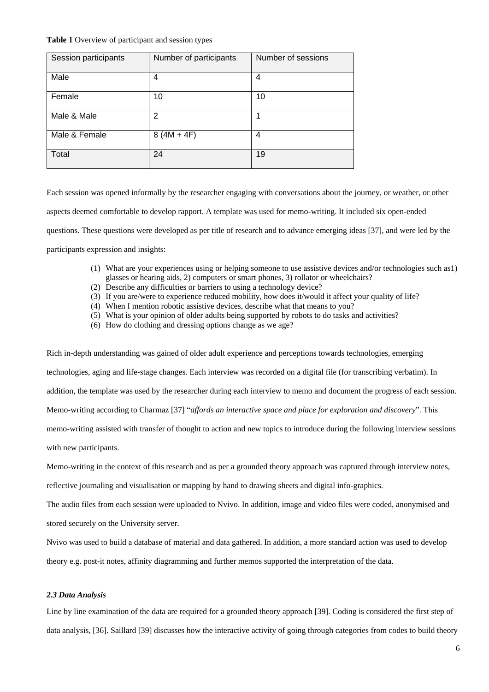#### **Table 1** Overview of participant and session types

| Session participants | Number of participants | Number of sessions |
|----------------------|------------------------|--------------------|
| Male                 | 4                      | 4                  |
| Female               | 10                     | 10                 |
| Male & Male          | 2                      |                    |
| Male & Female        | $8(4M + 4F)$           | 4                  |
| Total                | 24                     | 19                 |

Each session was opened informally by the researcher engaging with conversations about the journey, or weather, or other aspects deemed comfortable to develop rapport. A template was used for memo-writing. It included six open-ended questions. These questions were developed as per title of research and to advance emerging ideas [37], and were led by the participants expression and insights:

- (1) What are your experiences using or helping someone to use assistive devices and/or technologies such as1) glasses or hearing aids, 2) computers or smart phones, 3) rollator or wheelchairs?
- (2) Describe any difficulties or barriers to using a technology device?
- (3) If you are/were to experience reduced mobility, how does it/would it affect your quality of life?
- (4) When I mention robotic assistive devices, describe what that means to you?
- (5) What is your opinion of older adults being supported by robots to do tasks and activities?
- (6) How do clothing and dressing options change as we age?

Rich in-depth understanding was gained of older adult experience and perceptions towards technologies, emerging

technologies, aging and life-stage changes. Each interview was recorded on a digital file (for transcribing verbatim). In

addition, the template was used by the researcher during each interview to memo and document the progress of each session.

Memo-writing according to Charmaz [37] "*affords an interactive space and place for exploration and discovery*". This

memo-writing assisted with transfer of thought to action and new topics to introduce during the following interview sessions

with new participants.

Memo-writing in the context of this research and as per a grounded theory approach was captured through interview notes,

reflective journaling and visualisation or mapping by hand to drawing sheets and digital info-graphics.

The audio files from each session were uploaded to Nvivo. In addition, image and video files were coded, anonymised and stored securely on the University server.

Nvivo was used to build a database of material and data gathered. In addition, a more standard action was used to develop theory e.g. post-it notes, affinity diagramming and further memos supported the interpretation of the data.

### *2.3 Data Analysis*

Line by line examination of the data are required for a grounded theory approach [39]. Coding is considered the first step of data analysis, [36]. Saillard [39] discusses how the interactive activity of going through categories from codes to build theory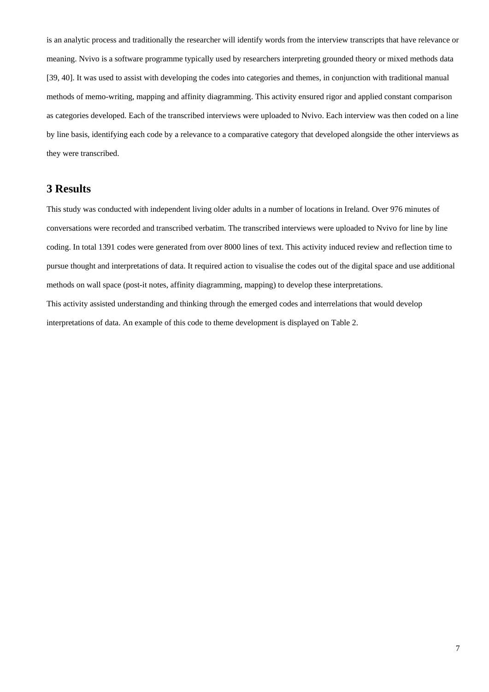is an analytic process and traditionally the researcher will identify words from the interview transcripts that have relevance or meaning. Nvivo is a software programme typically used by researchers interpreting grounded theory or mixed methods data [39, 40]. It was used to assist with developing the codes into categories and themes, in conjunction with traditional manual methods of memo-writing, mapping and affinity diagramming. This activity ensured rigor and applied constant comparison as categories developed. Each of the transcribed interviews were uploaded to Nvivo. Each interview was then coded on a line by line basis, identifying each code by a relevance to a comparative category that developed alongside the other interviews as they were transcribed.

# **3 Results**

This study was conducted with independent living older adults in a number of locations in Ireland. Over 976 minutes of conversations were recorded and transcribed verbatim. The transcribed interviews were uploaded to Nvivo for line by line coding. In total 1391 codes were generated from over 8000 lines of text. This activity induced review and reflection time to pursue thought and interpretations of data. It required action to visualise the codes out of the digital space and use additional methods on wall space (post-it notes, affinity diagramming, mapping) to develop these interpretations. This activity assisted understanding and thinking through the emerged codes and interrelations that would develop interpretations of data. An example of this code to theme development is displayed on Table 2.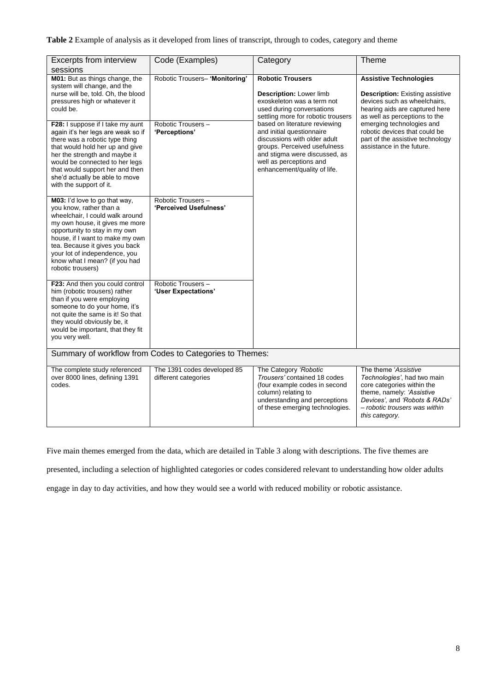**Table 2** Example of analysis as it developed from lines of transcript, through to codes, category and theme

| Excerpts from interview<br>sessions                                                                                                                                                                                                                                                                                        | Code (Examples)                                     | Category                                                                                                                                                                                                                                                                                                                                                                      | Theme                                                                                                                                                                                                                                                                                                     |  |
|----------------------------------------------------------------------------------------------------------------------------------------------------------------------------------------------------------------------------------------------------------------------------------------------------------------------------|-----------------------------------------------------|-------------------------------------------------------------------------------------------------------------------------------------------------------------------------------------------------------------------------------------------------------------------------------------------------------------------------------------------------------------------------------|-----------------------------------------------------------------------------------------------------------------------------------------------------------------------------------------------------------------------------------------------------------------------------------------------------------|--|
| M01: But as things change, the<br>system will change, and the<br>nurse will be, told. Oh, the blood<br>pressures high or whatever it<br>could be.                                                                                                                                                                          | Robotic Trousers- 'Monitoring'                      | <b>Robotic Trousers</b><br>Description: Lower limb<br>exoskeleton was a term not<br>used during conversations<br>settling more for robotic trousers<br>based on literature reviewing<br>and initial questionnaire<br>discussions with older adult<br>groups. Perceived usefulness<br>and stigma were discussed, as<br>well as perceptions and<br>enhancement/quality of life. | <b>Assistive Technologies</b><br><b>Description:</b> Existing assistive<br>devices such as wheelchairs,<br>hearing aids are captured here<br>as well as perceptions to the<br>emerging technologies and<br>robotic devices that could be<br>part of the assistive technology<br>assistance in the future. |  |
| F28: I suppose if I take my aunt<br>again it's her legs are weak so if<br>there was a robotic type thing<br>that would hold her up and give<br>her the strength and maybe it<br>would be connected to her legs<br>that would support her and then<br>she'd actually be able to move<br>with the support of it.             | Robotic Trousers-<br>'Perceptions'                  |                                                                                                                                                                                                                                                                                                                                                                               |                                                                                                                                                                                                                                                                                                           |  |
| M03: I'd love to go that way,<br>you know, rather than a<br>wheelchair, I could walk around<br>my own house, it gives me more<br>opportunity to stay in my own<br>house, if I want to make my own<br>tea. Because it gives you back<br>your lot of independence, you<br>know what I mean? (if you had<br>robotic trousers) | Robotic Trousers -<br>'Perceived Usefulness'        |                                                                                                                                                                                                                                                                                                                                                                               |                                                                                                                                                                                                                                                                                                           |  |
| F23: And then you could control<br>him (robotic trousers) rather<br>than if you were employing<br>someone to do your home, it's<br>not quite the same is it! So that<br>they would obviously be, it<br>would be important, that they fit<br>you very well.                                                                 | Robotic Trousers -<br>'User Expectations'           |                                                                                                                                                                                                                                                                                                                                                                               |                                                                                                                                                                                                                                                                                                           |  |
| Summary of workflow from Codes to Categories to Themes:                                                                                                                                                                                                                                                                    |                                                     |                                                                                                                                                                                                                                                                                                                                                                               |                                                                                                                                                                                                                                                                                                           |  |
| The complete study referenced<br>over 8000 lines, defining 1391<br>codes.                                                                                                                                                                                                                                                  | The 1391 codes developed 85<br>different categories | The Category 'Robotic<br>Trousers' contained 18 codes<br>(four example codes in second<br>column) relating to<br>understanding and perceptions<br>of these emerging technologies.                                                                                                                                                                                             | The theme 'Assistive<br>Technologies', had two main<br>core categories within the<br>theme, namely: 'Assistive<br>Devices', and 'Robots & RADs'<br>- robotic trousers was within<br>this category.                                                                                                        |  |

Five main themes emerged from the data, which are detailed in Table 3 along with descriptions. The five themes are

presented, including a selection of highlighted categories or codes considered relevant to understanding how older adults

engage in day to day activities, and how they would see a world with reduced mobility or robotic assistance.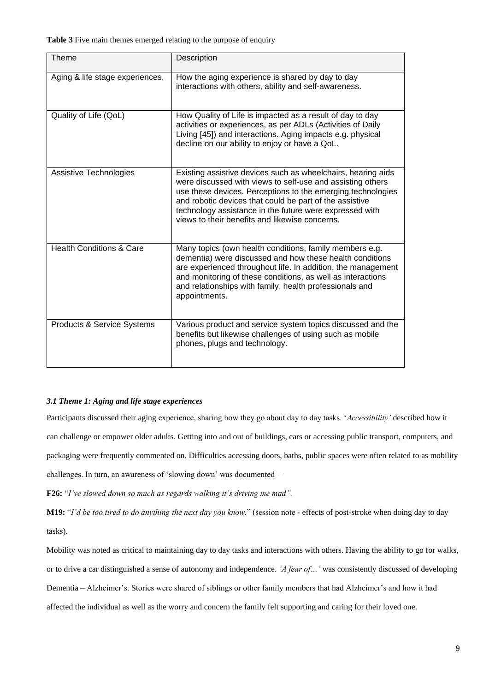**Table 3** Five main themes emerged relating to the purpose of enquiry

| <b>Theme</b>                        | Description                                                                                                                                                                                                                                                                                                                                                       |
|-------------------------------------|-------------------------------------------------------------------------------------------------------------------------------------------------------------------------------------------------------------------------------------------------------------------------------------------------------------------------------------------------------------------|
| Aging & life stage experiences.     | How the aging experience is shared by day to day<br>interactions with others, ability and self-awareness.                                                                                                                                                                                                                                                         |
| Quality of Life (QoL)               | How Quality of Life is impacted as a result of day to day<br>activities or experiences, as per ADLs (Activities of Daily<br>Living [45]) and interactions. Aging impacts e.g. physical<br>decline on our ability to enjoy or have a QoL.                                                                                                                          |
| Assistive Technologies              | Existing assistive devices such as wheelchairs, hearing aids<br>were discussed with views to self-use and assisting others<br>use these devices. Perceptions to the emerging technologies<br>and robotic devices that could be part of the assistive<br>technology assistance in the future were expressed with<br>views to their benefits and likewise concerns. |
| <b>Health Conditions &amp; Care</b> | Many topics (own health conditions, family members e.g.<br>dementia) were discussed and how these health conditions<br>are experienced throughout life. In addition, the management<br>and monitoring of these conditions, as well as interactions<br>and relationships with family, health professionals and<br>appointments.                                    |
| Products & Service Systems          | Various product and service system topics discussed and the<br>benefits but likewise challenges of using such as mobile<br>phones, plugs and technology.                                                                                                                                                                                                          |

## *3.1 Theme 1: Aging and life stage experiences*

Participants discussed their aging experience, sharing how they go about day to day tasks. '*Accessibility'* described how it can challenge or empower older adults. Getting into and out of buildings, cars or accessing public transport, computers, and packaging were frequently commented on. Difficulties accessing doors, baths, public spaces were often related to as mobility challenges. In turn, an awareness of 'slowing down' was documented –

**F26:** "*I've slowed down so much as regards walking it's driving me mad".*

**M19:** "*I'd be too tired to do anything the next day you know.*" (session note - effects of post-stroke when doing day to day tasks).

Mobility was noted as critical to maintaining day to day tasks and interactions with others. Having the ability to go for walks, or to drive a car distinguished a sense of autonomy and independence. *'A fear of…'* was consistently discussed of developing Dementia – Alzheimer's. Stories were shared of siblings or other family members that had Alzheimer's and how it had affected the individual as well as the worry and concern the family felt supporting and caring for their loved one.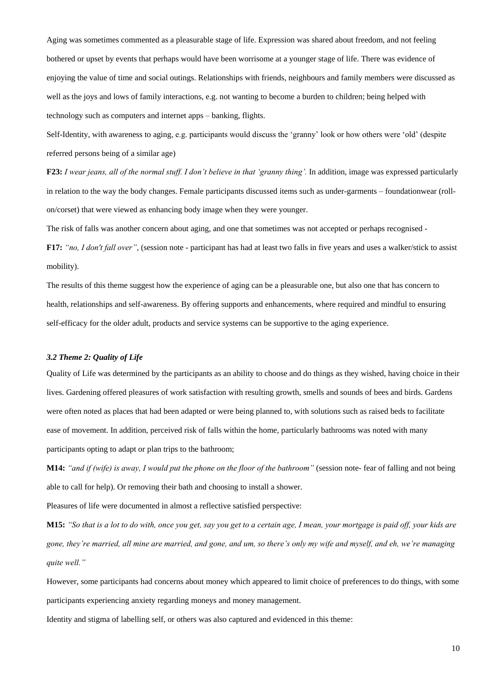Aging was sometimes commented as a pleasurable stage of life. Expression was shared about freedom, and not feeling bothered or upset by events that perhaps would have been worrisome at a younger stage of life. There was evidence of enjoying the value of time and social outings. Relationships with friends, neighbours and family members were discussed as well as the joys and lows of family interactions, e.g. not wanting to become a burden to children; being helped with technology such as computers and internet apps – banking, flights.

Self-Identity, with awareness to aging, e.g. participants would discuss the 'granny' look or how others were 'old' (despite referred persons being of a similar age)

**F23:** *I wear jeans, all of the normal stuff. I don't believe in that 'granny thing'.* In addition, image was expressed particularly in relation to the way the body changes. Female participants discussed items such as under-garments – foundationwear (rollon/corset) that were viewed as enhancing body image when they were younger.

The risk of falls was another concern about aging, and one that sometimes was not accepted or perhaps recognised - **F17:** *"no, I don't fall over"*, (session note - participant has had at least two falls in five years and uses a walker/stick to assist

mobility).

The results of this theme suggest how the experience of aging can be a pleasurable one, but also one that has concern to health, relationships and self-awareness. By offering supports and enhancements, where required and mindful to ensuring self-efficacy for the older adult, products and service systems can be supportive to the aging experience.

### *3.2 Theme 2: Quality of Life*

Quality of Life was determined by the participants as an ability to choose and do things as they wished, having choice in their lives. Gardening offered pleasures of work satisfaction with resulting growth, smells and sounds of bees and birds. Gardens were often noted as places that had been adapted or were being planned to, with solutions such as raised beds to facilitate ease of movement. In addition, perceived risk of falls within the home, particularly bathrooms was noted with many participants opting to adapt or plan trips to the bathroom;

**M14:** *"and if (wife) is away, I would put the phone on the floor of the bathroom"* (session note- fear of falling and not being able to call for help). Or removing their bath and choosing to install a shower.

Pleasures of life were documented in almost a reflective satisfied perspective:

**M15:** *"So that is a lot to do with, once you get, say you get to a certain age, I mean, your mortgage is paid off, your kids are gone, they're married, all mine are married, and gone, and um, so there's only my wife and myself, and eh, we're managing quite well."*

However, some participants had concerns about money which appeared to limit choice of preferences to do things, with some participants experiencing anxiety regarding moneys and money management.

Identity and stigma of labelling self, or others was also captured and evidenced in this theme: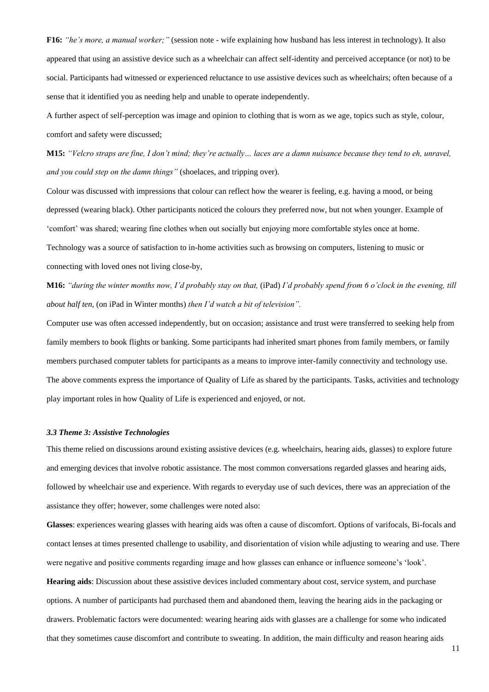**F16:** *"he's more, a manual worker;"* (session note - wife explaining how husband has less interest in technology). It also appeared that using an assistive device such as a wheelchair can affect self-identity and perceived acceptance (or not) to be social. Participants had witnessed or experienced reluctance to use assistive devices such as wheelchairs; often because of a sense that it identified you as needing help and unable to operate independently.

A further aspect of self-perception was image and opinion to clothing that is worn as we age, topics such as style, colour, comfort and safety were discussed;

**M15:** *"Velcro straps are fine, I don't mind; they're actually… laces are a damn nuisance because they tend to eh, unravel, and you could step on the damn things"* (shoelaces, and tripping over).

Colour was discussed with impressions that colour can reflect how the wearer is feeling, e.g. having a mood, or being depressed (wearing black). Other participants noticed the colours they preferred now, but not when younger. Example of 'comfort' was shared; wearing fine clothes when out socially but enjoying more comfortable styles once at home. Technology was a source of satisfaction to in-home activities such as browsing on computers, listening to music or connecting with loved ones not living close-by,

**M16:** *"during the winter months now, I'd probably stay on that,* (iPad) *I'd probably spend from 6 o'clock in the evening, till about half ten,* (on iPad in Winter months) *then I'd watch a bit of television".* 

Computer use was often accessed independently, but on occasion; assistance and trust were transferred to seeking help from family members to book flights or banking. Some participants had inherited smart phones from family members, or family members purchased computer tablets for participants as a means to improve inter-family connectivity and technology use. The above comments express the importance of Quality of Life as shared by the participants. Tasks, activities and technology play important roles in how Quality of Life is experienced and enjoyed, or not.

#### *3.3 Theme 3: Assistive Technologies*

This theme relied on discussions around existing assistive devices (e.g. wheelchairs, hearing aids, glasses) to explore future and emerging devices that involve robotic assistance. The most common conversations regarded glasses and hearing aids, followed by wheelchair use and experience. With regards to everyday use of such devices, there was an appreciation of the assistance they offer; however, some challenges were noted also:

**Glasses**: experiences wearing glasses with hearing aids was often a cause of discomfort. Options of varifocals, Bi-focals and contact lenses at times presented challenge to usability, and disorientation of vision while adjusting to wearing and use. There were negative and positive comments regarding image and how glasses can enhance or influence someone's 'look'.

**Hearing aids**: Discussion about these assistive devices included commentary about cost, service system, and purchase options. A number of participants had purchased them and abandoned them, leaving the hearing aids in the packaging or drawers. Problematic factors were documented: wearing hearing aids with glasses are a challenge for some who indicated that they sometimes cause discomfort and contribute to sweating. In addition, the main difficulty and reason hearing aids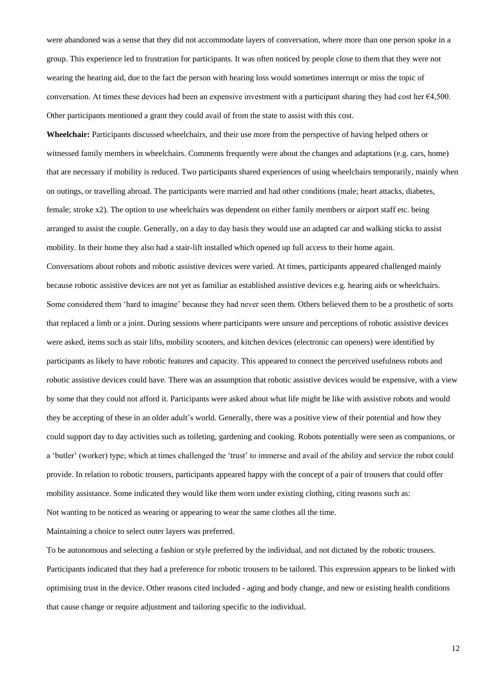were abandoned was a sense that they did not accommodate layers of conversation, where more than one person spoke in a group. This experience led to frustration for participants. It was often noticed by people close to them that they were not wearing the hearing aid, due to the fact the person with hearing loss would sometimes interrupt or miss the topic of conversation. At times these devices had been an expensive investment with a participant sharing they had cost her €4,500. Other participants mentioned a grant they could avail of from the state to assist with this cost.

**Wheelchair:** Participants discussed wheelchairs, and their use more from the perspective of having helped others or witnessed family members in wheelchairs. Comments frequently were about the changes and adaptations (e.g. cars, home) that are necessary if mobility is reduced. Two participants shared experiences of using wheelchairs temporarily, mainly when on outings, or travelling abroad. The participants were married and had other conditions (male; heart attacks, diabetes, female; stroke x2). The option to use wheelchairs was dependent on either family members or airport staff etc. being arranged to assist the couple. Generally, on a day to day basis they would use an adapted car and walking sticks to assist mobility. In their home they also had a stair-lift installed which opened up full access to their home again. Conversations about robots and robotic assistive devices were varied. At times, participants appeared challenged mainly because robotic assistive devices are not yet as familiar as established assistive devices e.g. hearing aids or wheelchairs. Some considered them 'hard to imagine' because they had never seen them. Others believed them to be a prosthetic of sorts that replaced a limb or a joint. During sessions where participants were unsure and perceptions of robotic assistive devices were asked, items such as stair lifts, mobility scooters, and kitchen devices (electronic can openers) were identified by participants as likely to have robotic features and capacity. This appeared to connect the perceived usefulness robots and robotic assistive devices could have. There was an assumption that robotic assistive devices would be expensive, with a view by some that they could not afford it. Participants were asked about what life might be like with assistive robots and would they be accepting of these in an older adult's world. Generally, there was a positive view of their potential and how they could support day to day activities such as toileting, gardening and cooking. Robots potentially were seen as companions, or a 'butler' (worker) type; which at times challenged the 'trust' to immerse and avail of the ability and service the robot could provide. In relation to robotic trousers, participants appeared happy with the concept of a pair of trousers that could offer mobility assistance. Some indicated they would like them worn under existing clothing, citing reasons such as: Not wanting to be noticed as wearing or appearing to wear the same clothes all the time.

#### Maintaining a choice to select outer layers was preferred.

To be autonomous and selecting a fashion or style preferred by the individual, and not dictated by the robotic trousers. Participants indicated that they had a preference for robotic trousers to be tailored. This expression appears to be linked with optimising trust in the device. Other reasons cited included - aging and body change, and new or existing health conditions that cause change or require adjustment and tailoring specific to the individual.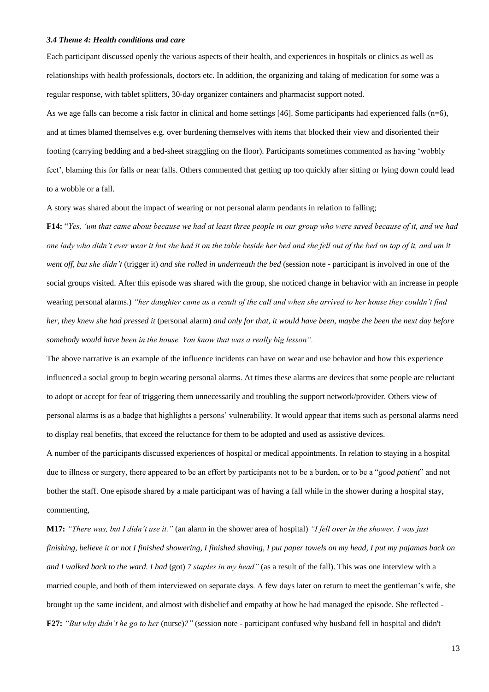#### *3.4 Theme 4: Health conditions and care*

Each participant discussed openly the various aspects of their health, and experiences in hospitals or clinics as well as relationships with health professionals, doctors etc. In addition, the organizing and taking of medication for some was a regular response, with tablet splitters, 30-day organizer containers and pharmacist support noted.

As we age falls can become a risk factor in clinical and home settings [46]. Some participants had experienced falls  $(n=6)$ , and at times blamed themselves e.g. over burdening themselves with items that blocked their view and disoriented their footing (carrying bedding and a bed-sheet straggling on the floor). Participants sometimes commented as having 'wobbly feet', blaming this for falls or near falls. Others commented that getting up too quickly after sitting or lying down could lead to a wobble or a fall.

A story was shared about the impact of wearing or not personal alarm pendants in relation to falling;

**F14:** "*Yes, 'um that came about because we had at least three people in our group who were saved because of it, and we had one lady who didn't ever wear it but she had it on the table beside her bed and she fell out of the bed on top of it, and um it went off, but she didn't* (trigger it) *and she rolled in underneath the bed* (session note - participant is involved in one of the social groups visited. After this episode was shared with the group, she noticed change in behavior with an increase in people wearing personal alarms.) *"her daughter came as a result of the call and when she arrived to her house they couldn't find her, they knew she had pressed it* (personal alarm) *and only for that, it would have been, maybe the been the next day before somebody would have been in the house. You know that was a really big lesson".*

The above narrative is an example of the influence incidents can have on wear and use behavior and how this experience influenced a social group to begin wearing personal alarms. At times these alarms are devices that some people are reluctant to adopt or accept for fear of triggering them unnecessarily and troubling the support network/provider. Others view of personal alarms is as a badge that highlights a persons' vulnerability. It would appear that items such as personal alarms need to display real benefits, that exceed the reluctance for them to be adopted and used as assistive devices.

A number of the participants discussed experiences of hospital or medical appointments. In relation to staying in a hospital due to illness or surgery, there appeared to be an effort by participants not to be a burden, or to be a "*good patient*" and not bother the staff. One episode shared by a male participant was of having a fall while in the shower during a hospital stay, commenting,

**M17:** *"There was, but I didn't use it."* (an alarm in the shower area of hospital) *"I fell over in the shower. I was just finishing, believe it or not I finished showering, I finished shaving, I put paper towels on my head, I put my pajamas back on and I walked back to the ward. I had* (got) *7 staples in my head"* (as a result of the fall). This was one interview with a married couple, and both of them interviewed on separate days. A few days later on return to meet the gentleman's wife, she brought up the same incident, and almost with disbelief and empathy at how he had managed the episode. She reflected - **F27:** *"But why didn't he go to her* (nurse)*?"* (session note - participant confused why husband fell in hospital and didn't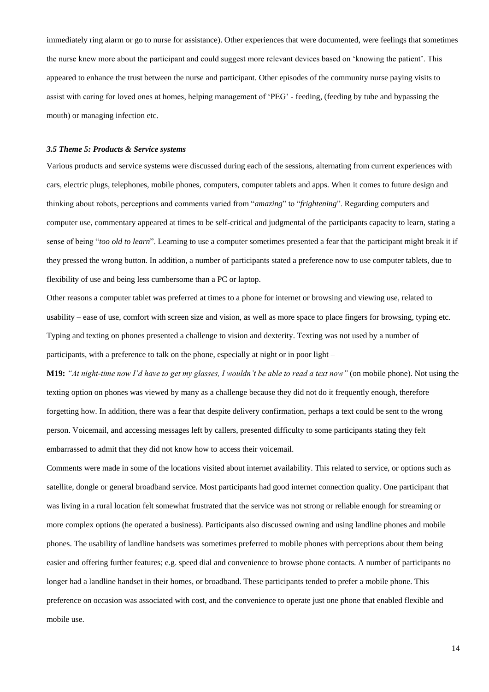immediately ring alarm or go to nurse for assistance). Other experiences that were documented, were feelings that sometimes the nurse knew more about the participant and could suggest more relevant devices based on 'knowing the patient'. This appeared to enhance the trust between the nurse and participant. Other episodes of the community nurse paying visits to assist with caring for loved ones at homes, helping management of 'PEG' - feeding, (feeding by tube and bypassing the mouth) or managing infection etc.

#### *3.5 Theme 5: Products & Service systems*

Various products and service systems were discussed during each of the sessions, alternating from current experiences with cars, electric plugs, telephones, mobile phones, computers, computer tablets and apps. When it comes to future design and thinking about robots, perceptions and comments varied from "*amazing*" to "*frightening*". Regarding computers and computer use, commentary appeared at times to be self-critical and judgmental of the participants capacity to learn, stating a sense of being "*too old to learn*". Learning to use a computer sometimes presented a fear that the participant might break it if they pressed the wrong button. In addition, a number of participants stated a preference now to use computer tablets, due to flexibility of use and being less cumbersome than a PC or laptop.

Other reasons a computer tablet was preferred at times to a phone for internet or browsing and viewing use, related to usability – ease of use, comfort with screen size and vision, as well as more space to place fingers for browsing, typing etc. Typing and texting on phones presented a challenge to vision and dexterity. Texting was not used by a number of participants, with a preference to talk on the phone, especially at night or in poor light –

**M19:** *"At night-time now I'd have to get my glasses, I wouldn't be able to read a text now"* (on mobile phone). Not using the texting option on phones was viewed by many as a challenge because they did not do it frequently enough, therefore forgetting how. In addition, there was a fear that despite delivery confirmation, perhaps a text could be sent to the wrong person. Voicemail, and accessing messages left by callers, presented difficulty to some participants stating they felt embarrassed to admit that they did not know how to access their voicemail.

Comments were made in some of the locations visited about internet availability. This related to service, or options such as satellite, dongle or general broadband service. Most participants had good internet connection quality. One participant that was living in a rural location felt somewhat frustrated that the service was not strong or reliable enough for streaming or more complex options (he operated a business). Participants also discussed owning and using landline phones and mobile phones. The usability of landline handsets was sometimes preferred to mobile phones with perceptions about them being easier and offering further features; e.g. speed dial and convenience to browse phone contacts. A number of participants no longer had a landline handset in their homes, or broadband. These participants tended to prefer a mobile phone. This preference on occasion was associated with cost, and the convenience to operate just one phone that enabled flexible and mobile use.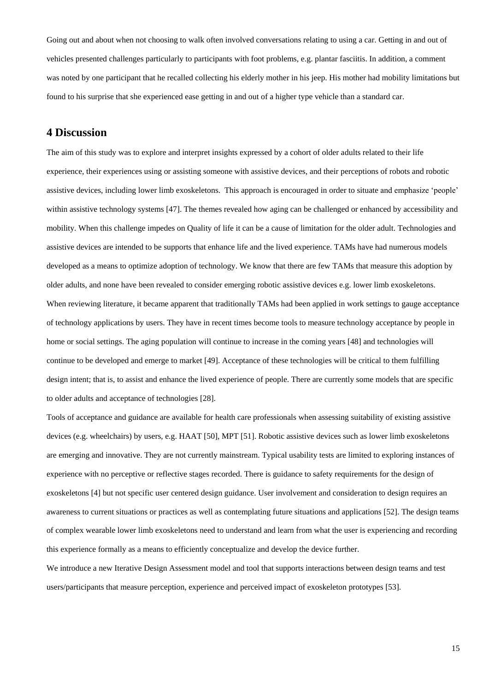Going out and about when not choosing to walk often involved conversations relating to using a car. Getting in and out of vehicles presented challenges particularly to participants with foot problems, e.g. plantar fasciitis. In addition, a comment was noted by one participant that he recalled collecting his elderly mother in his jeep. His mother had mobility limitations but found to his surprise that she experienced ease getting in and out of a higher type vehicle than a standard car.

# **4 Discussion**

The aim of this study was to explore and interpret insights expressed by a cohort of older adults related to their life experience, their experiences using or assisting someone with assistive devices, and their perceptions of robots and robotic assistive devices, including lower limb exoskeletons. This approach is encouraged in order to situate and emphasize 'people' within assistive technology systems [47]. The themes revealed how aging can be challenged or enhanced by accessibility and mobility. When this challenge impedes on Quality of life it can be a cause of limitation for the older adult. Technologies and assistive devices are intended to be supports that enhance life and the lived experience. TAMs have had numerous models developed as a means to optimize adoption of technology. We know that there are few TAMs that measure this adoption by older adults, and none have been revealed to consider emerging robotic assistive devices e.g. lower limb exoskeletons. When reviewing literature, it became apparent that traditionally TAMs had been applied in work settings to gauge acceptance of technology applications by users. They have in recent times become tools to measure technology acceptance by people in home or social settings. The aging population will continue to increase in the coming years [48] and technologies will continue to be developed and emerge to market [49]. Acceptance of these technologies will be critical to them fulfilling design intent; that is, to assist and enhance the lived experience of people. There are currently some models that are specific to older adults and acceptance of technologies [28].

Tools of acceptance and guidance are available for health care professionals when assessing suitability of existing assistive devices (e.g. wheelchairs) by users, e.g. HAAT [50], MPT [51]. Robotic assistive devices such as lower limb exoskeletons are emerging and innovative. They are not currently mainstream. Typical usability tests are limited to exploring instances of experience with no perceptive or reflective stages recorded. There is guidance to safety requirements for the design of exoskeletons [4] but not specific user centered design guidance. User involvement and consideration to design requires an awareness to current situations or practices as well as contemplating future situations and applications [52]. The design teams of complex wearable lower limb exoskeletons need to understand and learn from what the user is experiencing and recording this experience formally as a means to efficiently conceptualize and develop the device further.

We introduce a new Iterative Design Assessment model and tool that supports interactions between design teams and test users/participants that measure perception, experience and perceived impact of exoskeleton prototypes [53].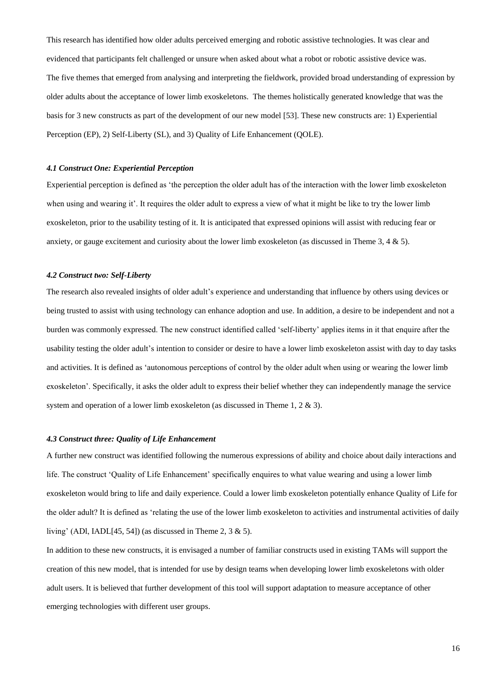This research has identified how older adults perceived emerging and robotic assistive technologies. It was clear and evidenced that participants felt challenged or unsure when asked about what a robot or robotic assistive device was. The five themes that emerged from analysing and interpreting the fieldwork, provided broad understanding of expression by older adults about the acceptance of lower limb exoskeletons. The themes holistically generated knowledge that was the basis for 3 new constructs as part of the development of our new model [53]. These new constructs are: 1) Experiential Perception (EP), 2) Self-Liberty (SL), and 3) Quality of Life Enhancement (OOLE).

### *4.1 Construct One: Experiential Perception*

Experiential perception is defined as 'the perception the older adult has of the interaction with the lower limb exoskeleton when using and wearing it'. It requires the older adult to express a view of what it might be like to try the lower limb exoskeleton, prior to the usability testing of it. It is anticipated that expressed opinions will assist with reducing fear or anxiety, or gauge excitement and curiosity about the lower limb exoskeleton (as discussed in Theme 3,  $4 \& 5$ ).

### *4.2 Construct two: Self-Liberty*

The research also revealed insights of older adult's experience and understanding that influence by others using devices or being trusted to assist with using technology can enhance adoption and use. In addition, a desire to be independent and not a burden was commonly expressed. The new construct identified called 'self-liberty' applies items in it that enquire after the usability testing the older adult's intention to consider or desire to have a lower limb exoskeleton assist with day to day tasks and activities. It is defined as 'autonomous perceptions of control by the older adult when using or wearing the lower limb exoskeleton'. Specifically, it asks the older adult to express their belief whether they can independently manage the service system and operation of a lower limb exoskeleton (as discussed in Theme 1, 2 & 3).

### *4.3 Construct three: Quality of Life Enhancement*

A further new construct was identified following the numerous expressions of ability and choice about daily interactions and life. The construct 'Quality of Life Enhancement' specifically enquires to what value wearing and using a lower limb exoskeleton would bring to life and daily experience. Could a lower limb exoskeleton potentially enhance Quality of Life for the older adult? It is defined as 'relating the use of the lower limb exoskeleton to activities and instrumental activities of daily living' (ADl, IADL[45, 54]) (as discussed in Theme 2,  $3 \& 5$ ).

In addition to these new constructs, it is envisaged a number of familiar constructs used in existing TAMs will support the creation of this new model, that is intended for use by design teams when developing lower limb exoskeletons with older adult users. It is believed that further development of this tool will support adaptation to measure acceptance of other emerging technologies with different user groups.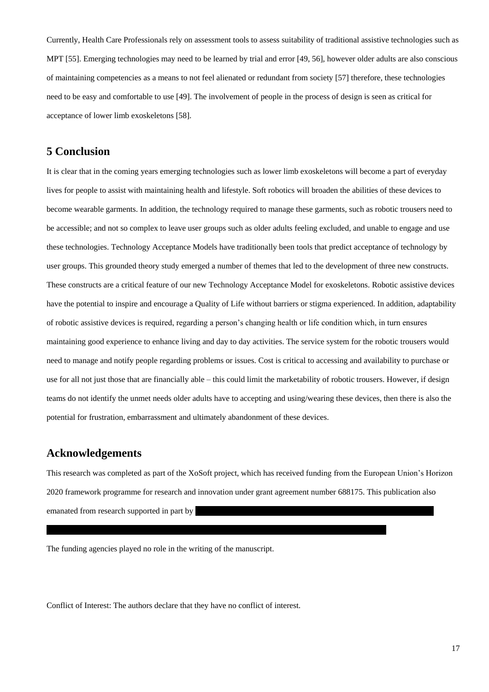Currently, Health Care Professionals rely on assessment tools to assess suitability of traditional assistive technologies such as MPT [55]. Emerging technologies may need to be learned by trial and error [49, 56], however older adults are also conscious of maintaining competencies as a means to not feel alienated or redundant from society [57] therefore, these technologies need to be easy and comfortable to use [49]. The involvement of people in the process of design is seen as critical for acceptance of lower limb exoskeletons [58].

# **5 Conclusion**

It is clear that in the coming years emerging technologies such as lower limb exoskeletons will become a part of everyday lives for people to assist with maintaining health and lifestyle. Soft robotics will broaden the abilities of these devices to become wearable garments. In addition, the technology required to manage these garments, such as robotic trousers need to be accessible; and not so complex to leave user groups such as older adults feeling excluded, and unable to engage and use these technologies. Technology Acceptance Models have traditionally been tools that predict acceptance of technology by user groups. This grounded theory study emerged a number of themes that led to the development of three new constructs. These constructs are a critical feature of our new Technology Acceptance Model for exoskeletons. Robotic assistive devices have the potential to inspire and encourage a Quality of Life without barriers or stigma experienced. In addition, adaptability of robotic assistive devices is required, regarding a person's changing health or life condition which, in turn ensures maintaining good experience to enhance living and day to day activities. The service system for the robotic trousers would need to manage and notify people regarding problems or issues. Cost is critical to accessing and availability to purchase or use for all not just those that are financially able – this could limit the marketability of robotic trousers. However, if design teams do not identify the unmet needs older adults have to accepting and using/wearing these devices, then there is also the potential for frustration, embarrassment and ultimately abandonment of these devices.

# **Acknowledgements**

This research was completed as part of the XoSoft project, which has received funding from the European Union's Horizon 2020 framework programme for research and innovation under grant agreement number 688175. This publication also emanated from research supported in part by

The funding agencies played no role in the writing of the manuscript.

Conflict of Interest: The authors declare that they have no conflict of interest.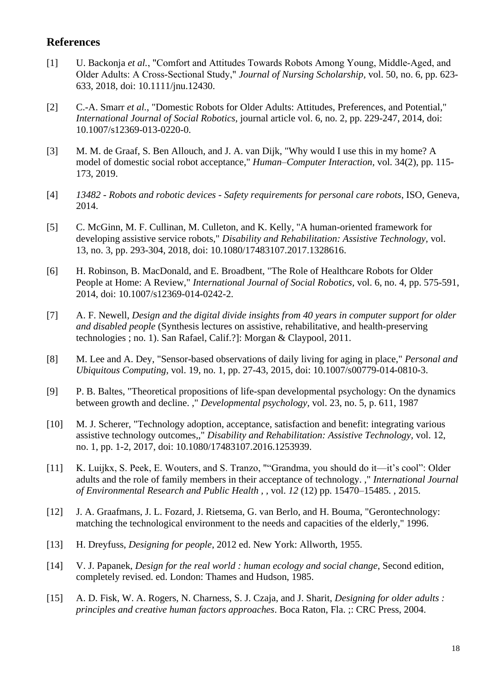# **References**

- [1] U. Backonja *et al.*, "Comfort and Attitudes Towards Robots Among Young, Middle‐Aged, and Older Adults: A Cross‐Sectional Study," *Journal of Nursing Scholarship,* vol. 50, no. 6, pp. 623- 633, 2018, doi: 10.1111/jnu.12430.
- [2] C.-A. Smarr *et al.*, "Domestic Robots for Older Adults: Attitudes, Preferences, and Potential," *International Journal of Social Robotics,* journal article vol. 6, no. 2, pp. 229-247, 2014, doi: 10.1007/s12369-013-0220-0.
- [3] M. M. de Graaf, S. Ben Allouch, and J. A. van Dijk, "Why would I use this in my home? A model of domestic social robot acceptance," *Human–Computer Interaction,* vol. 34(2), pp. 115- 173, 2019.
- [4] *13482 - Robots and robotic devices - Safety requirements for personal care robots*, ISO, Geneva, 2014.
- [5] C. McGinn, M. F. Cullinan, M. Culleton, and K. Kelly, "A human-oriented framework for developing assistive service robots," *Disability and Rehabilitation: Assistive Technology,* vol. 13, no. 3, pp. 293-304, 2018, doi: 10.1080/17483107.2017.1328616.
- [6] H. Robinson, B. MacDonald, and E. Broadbent, "The Role of Healthcare Robots for Older People at Home: A Review," *International Journal of Social Robotics,* vol. 6, no. 4, pp. 575-591, 2014, doi: 10.1007/s12369-014-0242-2.
- [7] A. F. Newell, *Design and the digital divide insights from 40 years in computer support for older and disabled people* (Synthesis lectures on assistive, rehabilitative, and health-preserving technologies ; no. 1). San Rafael, Calif.?]: Morgan & Claypool, 2011.
- [8] M. Lee and A. Dey, "Sensor-based observations of daily living for aging in place," *Personal and Ubiquitous Computing,* vol. 19, no. 1, pp. 27-43, 2015, doi: 10.1007/s00779-014-0810-3.
- [9] P. B. Baltes, "Theoretical propositions of life-span developmental psychology: On the dynamics between growth and decline. ," *Developmental psychology,* vol. 23, no. 5, p. 611, 1987
- [10] M. J. Scherer, "Technology adoption, acceptance, satisfaction and benefit: integrating various assistive technology outcomes,," *Disability and Rehabilitation: Assistive Technology,* vol. 12, no. 1, pp. 1-2, 2017, doi: 10.1080/17483107.2016.1253939.
- [11] K. Luijkx, S. Peek, E. Wouters, and S. Tranzo, ""Grandma, you should do it—it's cool": Older adults and the role of family members in their acceptance of technology. ," *International Journal of Environmental Research and Public Health , ,* vol. *12* (12) pp. 15470–15485. , 2015.
- [12] J. A. Graafmans, J. L. Fozard, J. Rietsema, G. van Berlo, and H. Bouma, "Gerontechnology: matching the technological environment to the needs and capacities of the elderly," 1996.
- [13] H. Dreyfuss, *Designing for people*, 2012 ed. New York: Allworth, 1955.
- [14] V. J. Papanek, *Design for the real world : human ecology and social change*, Second edition, completely revised. ed. London: Thames and Hudson, 1985.
- [15] A. D. Fisk, W. A. Rogers, N. Charness, S. J. Czaja, and J. Sharit, *Designing for older adults : principles and creative human factors approaches*. Boca Raton, Fla. ;: CRC Press, 2004.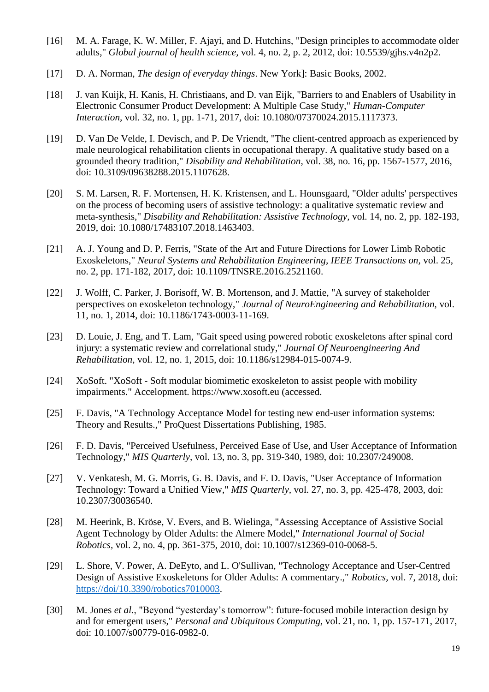- [16] M. A. Farage, K. W. Miller, F. Ajayi, and D. Hutchins, "Design principles to accommodate older adults," *Global journal of health science,* vol. 4, no. 2, p. 2, 2012, doi: 10.5539/gjhs.v4n2p2.
- [17] D. A. Norman, *The design of everyday things*. New York]: Basic Books, 2002.
- [18] J. van Kuijk, H. Kanis, H. Christiaans, and D. van Eijk, "Barriers to and Enablers of Usability in Electronic Consumer Product Development: A Multiple Case Study," *Human-Computer Interaction,* vol. 32, no. 1, pp. 1-71, 2017, doi: 10.1080/07370024.2015.1117373.
- [19] D. Van De Velde, I. Devisch, and P. De Vriendt, "The client-centred approach as experienced by male neurological rehabilitation clients in occupational therapy. A qualitative study based on a grounded theory tradition," *Disability and Rehabilitation,* vol. 38, no. 16, pp. 1567-1577, 2016, doi: 10.3109/09638288.2015.1107628.
- [20] S. M. Larsen, R. F. Mortensen, H. K. Kristensen, and L. Hounsgaard, "Older adults' perspectives on the process of becoming users of assistive technology: a qualitative systematic review and meta-synthesis," *Disability and Rehabilitation: Assistive Technology,* vol. 14, no. 2, pp. 182-193, 2019, doi: 10.1080/17483107.2018.1463403.
- [21] A. J. Young and D. P. Ferris, "State of the Art and Future Directions for Lower Limb Robotic Exoskeletons," *Neural Systems and Rehabilitation Engineering, IEEE Transactions on,* vol. 25, no. 2, pp. 171-182, 2017, doi: 10.1109/TNSRE.2016.2521160.
- [22] J. Wolff, C. Parker, J. Borisoff, W. B. Mortenson, and J. Mattie, "A survey of stakeholder perspectives on exoskeleton technology," *Journal of NeuroEngineering and Rehabilitation,* vol. 11, no. 1, 2014, doi: 10.1186/1743-0003-11-169.
- [23] D. Louie, J. Eng, and T. Lam, "Gait speed using powered robotic exoskeletons after spinal cord injury: a systematic review and correlational study," *Journal Of Neuroengineering And Rehabilitation,* vol. 12, no. 1, 2015, doi: 10.1186/s12984-015-0074-9.
- [24] XoSoft. "XoSoft Soft modular biomimetic exoskeleton to assist people with mobility impairments." Accelopment. https://www.xosoft.eu (accessed.
- [25] F. Davis, "A Technology Acceptance Model for testing new end-user information systems: Theory and Results.," ProQuest Dissertations Publishing, 1985.
- [26] F. D. Davis, "Perceived Usefulness, Perceived Ease of Use, and User Acceptance of Information Technology," *MIS Quarterly,* vol. 13, no. 3, pp. 319-340, 1989, doi: 10.2307/249008.
- [27] V. Venkatesh, M. G. Morris, G. B. Davis, and F. D. Davis, "User Acceptance of Information Technology: Toward a Unified View," *MIS Quarterly,* vol. 27, no. 3, pp. 425-478, 2003, doi: 10.2307/30036540.
- [28] M. Heerink, B. Kröse, V. Evers, and B. Wielinga, "Assessing Acceptance of Assistive Social Agent Technology by Older Adults: the Almere Model," *International Journal of Social Robotics,* vol. 2, no. 4, pp. 361-375, 2010, doi: 10.1007/s12369-010-0068-5.
- [29] L. Shore, V. Power, A. DeEyto, and L. O'Sullivan, "Technology Acceptance and User-Centred Design of Assistive Exoskeletons for Older Adults: A commentary.," *Robotics,* vol. 7, 2018, doi: [https://doi/10.3390/robotics7010003.](https://doi/10.3390/robotics7010003)
- [30] M. Jones *et al.*, "Beyond "yesterday's tomorrow": future-focused mobile interaction design by and for emergent users," *Personal and Ubiquitous Computing,* vol. 21, no. 1, pp. 157-171, 2017, doi: 10.1007/s00779-016-0982-0.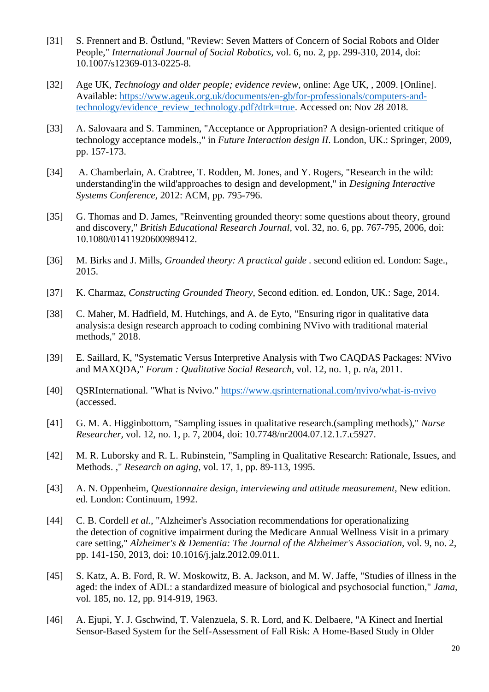- [31] S. Frennert and B. Östlund, "Review: Seven Matters of Concern of Social Robots and Older People," *International Journal of Social Robotics,* vol. 6, no. 2, pp. 299-310, 2014, doi: 10.1007/s12369-013-0225-8.
- [32] Age UK, *Technology and older people; evidence review*, online: Age UK, , 2009. [Online]. Available: [https://www.ageuk.org.uk/documents/en-gb/for-professionals/computers-and](https://www.ageuk.org.uk/documents/en-gb/for-professionals/computers-and-technology/evidence_review_technology.pdf?dtrk=true)[technology/evidence\\_review\\_technology.pdf?dtrk=true.](https://www.ageuk.org.uk/documents/en-gb/for-professionals/computers-and-technology/evidence_review_technology.pdf?dtrk=true) Accessed on: Nov 28 2018.
- [33] A. Salovaara and S. Tamminen, "Acceptance or Appropriation? A design-oriented critique of technology acceptance models.," in *Future Interaction design II*. London, UK.: Springer, 2009, pp. 157-173.
- [34] A. Chamberlain, A. Crabtree, T. Rodden, M. Jones, and Y. Rogers, "Research in the wild: understanding'in the wild'approaches to design and development," in *Designing Interactive Systems Conference*, 2012: ACM, pp. 795-796.
- [35] G. Thomas and D. James, "Reinventing grounded theory: some questions about theory, ground and discovery," *British Educational Research Journal,* vol. 32, no. 6, pp. 767-795, 2006, doi: 10.1080/01411920600989412.
- [36] M. Birks and J. Mills, *Grounded theory: A practical guide .* second edition ed. London: Sage., 2015.
- [37] K. Charmaz, *Constructing Grounded Theory*, Second edition. ed. London, UK.: Sage, 2014.
- [38] C. Maher, M. Hadfield, M. Hutchings, and A. de Eyto, "Ensuring rigor in qualitative data analysis:a design research approach to coding combining NVivo with traditional material methods," 2018.
- [39] E. Saillard, K, "Systematic Versus Interpretive Analysis with Two CAQDAS Packages: NVivo and MAXQDA," *Forum : Qualitative Social Research,* vol. 12, no. 1, p. n/a, 2011.
- [40] QSRInternational. "What is Nvivo."<https://www.qsrinternational.com/nvivo/what-is-nvivo> (accessed.
- [41] G. M. A. Higginbottom, "Sampling issues in qualitative research.(sampling methods)," *Nurse Researcher,* vol. 12, no. 1, p. 7, 2004, doi: 10.7748/nr2004.07.12.1.7.c5927.
- [42] M. R. Luborsky and R. L. Rubinstein, "Sampling in Qualitative Research: Rationale, Issues, and Methods. ," *Research on aging,* vol. 17, 1, pp. 89-113, 1995.
- [43] A. N. Oppenheim, *Questionnaire design, interviewing and attitude measurement*, New edition. ed. London: Continuum, 1992.
- [44] C. B. Cordell *et al.*, "Alzheimer's Association recommendations for operationalizing the detection of cognitive impairment during the Medicare Annual Wellness Visit in a primary care setting," *Alzheimer's & Dementia: The Journal of the Alzheimer's Association,* vol. 9, no. 2, pp. 141-150, 2013, doi: 10.1016/j.jalz.2012.09.011.
- [45] S. Katz, A. B. Ford, R. W. Moskowitz, B. A. Jackson, and M. W. Jaffe, "Studies of illness in the aged: the index of ADL: a standardized measure of biological and psychosocial function," *Jama,*  vol. 185, no. 12, pp. 914-919, 1963.
- [46] A. Ejupi, Y. J. Gschwind, T. Valenzuela, S. R. Lord, and K. Delbaere, "A Kinect and Inertial Sensor-Based System for the Self-Assessment of Fall Risk: A Home-Based Study in Older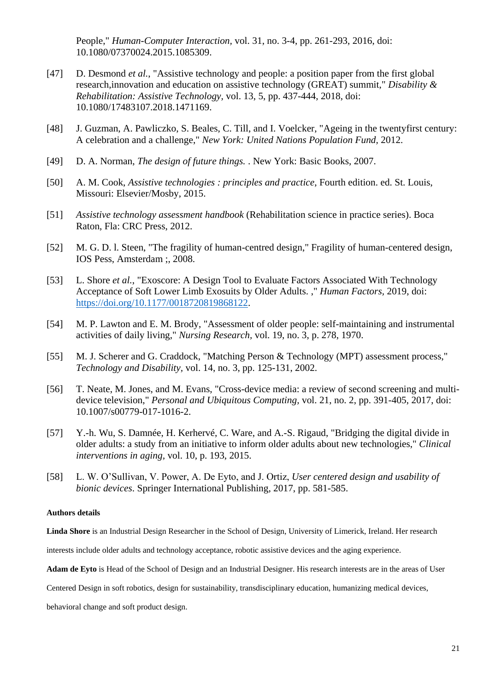People," *Human-Computer Interaction,* vol. 31, no. 3-4, pp. 261-293, 2016, doi: 10.1080/07370024.2015.1085309.

- [47] D. Desmond *et al.*, "Assistive technology and people: a position paper from the first global research,innovation and education on assistive technology (GREAT) summit," *Disability & Rehabilitation: Assistive Technology,* vol. 13, 5, pp. 437-444, 2018, doi: 10.1080/17483107.2018.1471169.
- [48] J. Guzman, A. Pawliczko, S. Beales, C. Till, and I. Voelcker, "Ageing in the twentyfirst century: A celebration and a challenge," *New York: United Nations Population Fund,* 2012.
- [49] D. A. Norman, *The design of future things.* . New York: Basic Books, 2007.
- [50] A. M. Cook, *Assistive technologies : principles and practice*, Fourth edition. ed. St. Louis, Missouri: Elsevier/Mosby, 2015.
- [51] *Assistive technology assessment handbook* (Rehabilitation science in practice series). Boca Raton, Fla: CRC Press, 2012.
- [52] M. G. D. l. Steen, "The fragility of human-centred design," Fragility of human-centered design, IOS Pess, Amsterdam ;, 2008.
- [53] L. Shore *et al.*, "Exoscore: A Design Tool to Evaluate Factors Associated With Technology Acceptance of Soft Lower Limb Exosuits by Older Adults. ," *Human Factors,* 2019, doi: [https://doi.org/10.1177/0018720819868122.](https://doi.org/10.1177/0018720819868122)
- [54] M. P. Lawton and E. M. Brody, "Assessment of older people: self-maintaining and instrumental activities of daily living," *Nursing Research,* vol. 19, no. 3, p. 278, 1970.
- [55] M. J. Scherer and G. Craddock, "Matching Person & Technology (MPT) assessment process," *Technology and Disability,* vol. 14, no. 3, pp. 125-131, 2002.
- [56] T. Neate, M. Jones, and M. Evans, "Cross-device media: a review of second screening and multidevice television," *Personal and Ubiquitous Computing,* vol. 21, no. 2, pp. 391-405, 2017, doi: 10.1007/s00779-017-1016-2.
- [57] Y.-h. Wu, S. Damnée, H. Kerhervé, C. Ware, and A.-S. Rigaud, "Bridging the digital divide in older adults: a study from an initiative to inform older adults about new technologies," *Clinical interventions in aging,* vol. 10, p. 193, 2015.
- [58] L. W. O'Sullivan, V. Power, A. De Eyto, and J. Ortiz, *User centered design and usability of bionic devices*. Springer International Publishing, 2017, pp. 581-585.

## **Authors details**

**Linda Shore** is an Industrial Design Researcher in the School of Design, University of Limerick, Ireland. Her research

interests include older adults and technology acceptance, robotic assistive devices and the aging experience.

**Adam de Eyto** is Head of the School of Design and an Industrial Designer. His research interests are in the areas of User

Centered Design in soft robotics, design for sustainability, transdisciplinary education, humanizing medical devices,

behavioral change and soft product design.